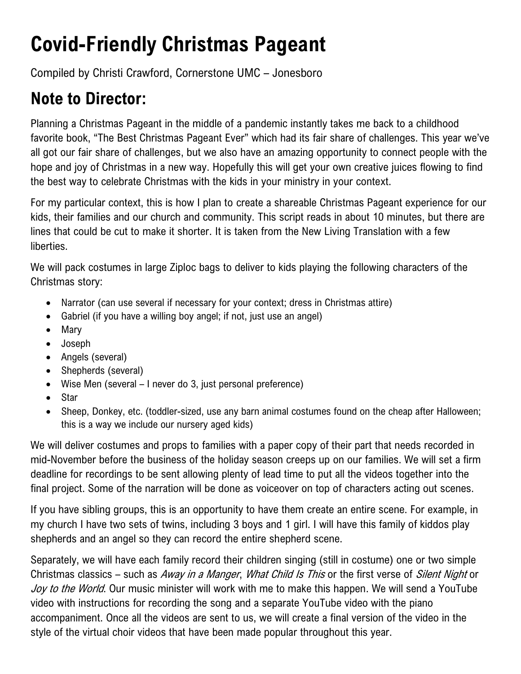## **Covid-Friendly Christmas Pageant**

Compiled by Christi Crawford, Cornerstone UMC – Jonesboro

## **Note to Director:**

Planning a Christmas Pageant in the middle of a pandemic instantly takes me back to a childhood favorite book, "The Best Christmas Pageant Ever" which had its fair share of challenges. This year we've all got our fair share of challenges, but we also have an amazing opportunity to connect people with the hope and joy of Christmas in a new way. Hopefully this will get your own creative juices flowing to find the best way to celebrate Christmas with the kids in your ministry in your context.

For my particular context, this is how I plan to create a shareable Christmas Pageant experience for our kids, their families and our church and community. This script reads in about 10 minutes, but there are lines that could be cut to make it shorter. It is taken from the New Living Translation with a few liberties.

We will pack costumes in large Ziploc bags to deliver to kids playing the following characters of the Christmas story:

- Narrator (can use several if necessary for your context; dress in Christmas attire)
- Gabriel (if you have a willing boy angel; if not, just use an angel)
- Mary
- Joseph
- Angels (several)
- Shepherds (several)
- Wise Men (several I never do 3, just personal preference)
- Star
- Sheep, Donkey, etc. (toddler-sized, use any barn animal costumes found on the cheap after Halloween; this is a way we include our nursery aged kids)

We will deliver costumes and props to families with a paper copy of their part that needs recorded in mid-November before the business of the holiday season creeps up on our families. We will set a firm deadline for recordings to be sent allowing plenty of lead time to put all the videos together into the final project. Some of the narration will be done as voiceover on top of characters acting out scenes.

If you have sibling groups, this is an opportunity to have them create an entire scene. For example, in my church I have two sets of twins, including 3 boys and 1 girl. I will have this family of kiddos play shepherds and an angel so they can record the entire shepherd scene.

Separately, we will have each family record their children singing (still in costume) one or two simple Christmas classics – such as Away in a Manger, What Child Is This or the first verse of Silent Night or Joy to the World. Our music minister will work with me to make this happen. We will send a YouTube video with instructions for recording the song and a separate YouTube video with the piano accompaniment. Once all the videos are sent to us, we will create a final version of the video in the style of the virtual choir videos that have been made popular throughout this year.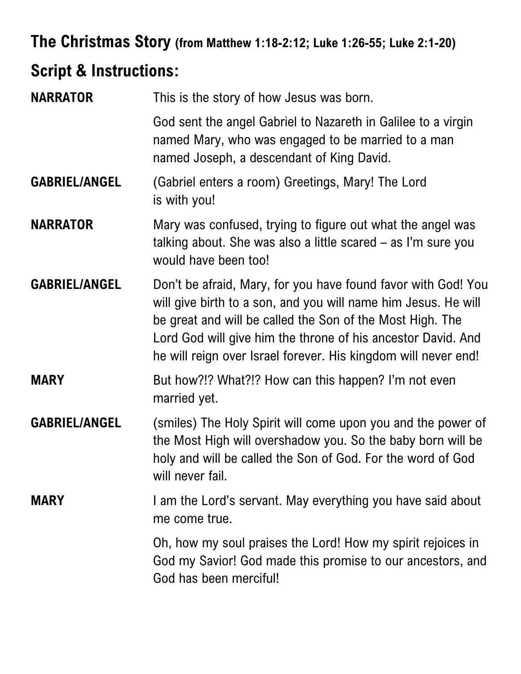## **The Christmas Story (from Matthew 1:18-2:12; Luke 1:26-55; Luke 2:1-20)**

## **Script & Instructions:**

| <b>NARRATOR</b>      | This is the story of how Jesus was born.                                                                                                                                                                                                                                                                                       |
|----------------------|--------------------------------------------------------------------------------------------------------------------------------------------------------------------------------------------------------------------------------------------------------------------------------------------------------------------------------|
|                      | God sent the angel Gabriel to Nazareth in Galilee to a virgin<br>named Mary, who was engaged to be married to a man<br>named Joseph, a descendant of King David.                                                                                                                                                               |
| <b>GABRIEL/ANGEL</b> | (Gabriel enters a room) Greetings, Mary! The Lord<br>is with you!                                                                                                                                                                                                                                                              |
| <b>NARRATOR</b>      | Mary was confused, trying to figure out what the angel was<br>talking about. She was also a little scared – as I'm sure you<br>would have been too!                                                                                                                                                                            |
| <b>GABRIEL/ANGEL</b> | Don't be afraid, Mary, for you have found favor with God! You<br>will give birth to a son, and you will name him Jesus. He will<br>be great and will be called the Son of the Most High. The<br>Lord God will give him the throne of his ancestor David. And<br>he will reign over Israel forever. His kingdom will never end! |
| <b>MARY</b>          | But how?!? What?!? How can this happen? I'm not even<br>married yet.                                                                                                                                                                                                                                                           |
| <b>GABRIEL/ANGEL</b> | (smiles) The Holy Spirit will come upon you and the power of<br>the Most High will overshadow you. So the baby born will be<br>holy and will be called the Son of God. For the word of God<br>will never fail.                                                                                                                 |
| <b>MARY</b>          | I am the Lord's servant. May everything you have said about<br>me come true.                                                                                                                                                                                                                                                   |
|                      | Oh, how my soul praises the Lord! How my spirit rejoices in<br>God my Savior! God made this promise to our ancestors, and<br>God has been merciful!                                                                                                                                                                            |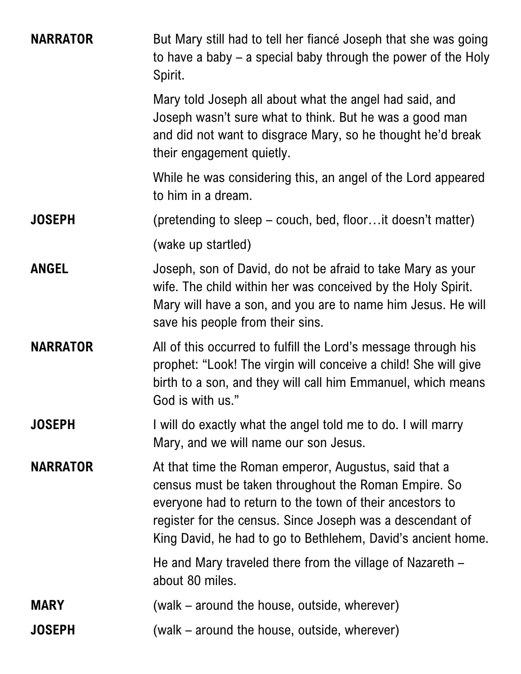| <b>NARRATOR</b> | But Mary still had to tell her fiancé Joseph that she was going<br>to have a baby $-$ a special baby through the power of the Holy<br>Spirit.                                                                                                                                                          |
|-----------------|--------------------------------------------------------------------------------------------------------------------------------------------------------------------------------------------------------------------------------------------------------------------------------------------------------|
|                 | Mary told Joseph all about what the angel had said, and<br>Joseph wasn't sure what to think. But he was a good man<br>and did not want to disgrace Mary, so he thought he'd break<br>their engagement quietly.                                                                                         |
|                 | While he was considering this, an angel of the Lord appeared<br>to him in a dream.                                                                                                                                                                                                                     |
| <b>JOSEPH</b>   | (pretending to sleep – couch, bed, floor it doesn't matter)                                                                                                                                                                                                                                            |
|                 | (wake up startled)                                                                                                                                                                                                                                                                                     |
| <b>ANGEL</b>    | Joseph, son of David, do not be afraid to take Mary as your<br>wife. The child within her was conceived by the Holy Spirit.<br>Mary will have a son, and you are to name him Jesus. He will<br>save his people from their sins.                                                                        |
| <b>NARRATOR</b> | All of this occurred to fulfill the Lord's message through his<br>prophet: "Look! The virgin will conceive a child! She will give<br>birth to a son, and they will call him Emmanuel, which means<br>God is with us."                                                                                  |
| <b>JOSEPH</b>   | I will do exactly what the angel told me to do. I will marry<br>Mary, and we will name our son Jesus.                                                                                                                                                                                                  |
| <b>NARRATOR</b> | At that time the Roman emperor, Augustus, said that a<br>census must be taken throughout the Roman Empire. So<br>everyone had to return to the town of their ancestors to<br>register for the census. Since Joseph was a descendant of<br>King David, he had to go to Bethlehem, David's ancient home. |
|                 | He and Mary traveled there from the village of Nazareth –<br>about 80 miles.                                                                                                                                                                                                                           |
| <b>MARY</b>     | (walk – around the house, outside, wherever)                                                                                                                                                                                                                                                           |
| <b>JOSEPH</b>   | (walk – around the house, outside, wherever)                                                                                                                                                                                                                                                           |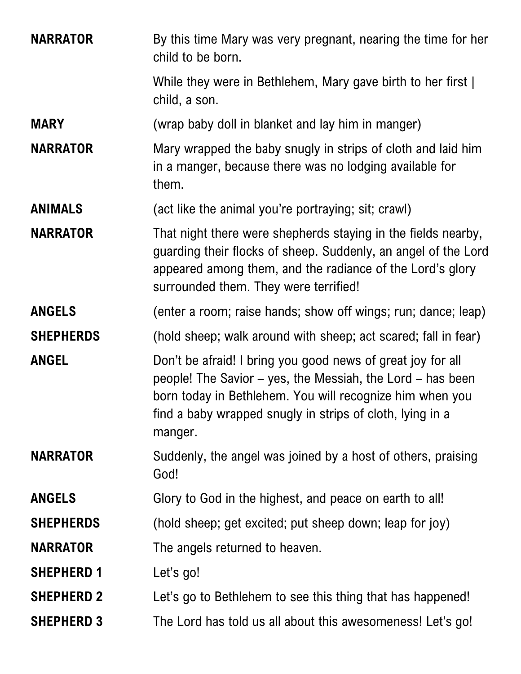| <b>NARRATOR</b>   | By this time Mary was very pregnant, nearing the time for her<br>child to be born.                                                                                                                                                                            |
|-------------------|---------------------------------------------------------------------------------------------------------------------------------------------------------------------------------------------------------------------------------------------------------------|
|                   | While they were in Bethlehem, Mary gave birth to her first  <br>child, a son.                                                                                                                                                                                 |
| <b>MARY</b>       | (wrap baby doll in blanket and lay him in manger)                                                                                                                                                                                                             |
| <b>NARRATOR</b>   | Mary wrapped the baby snugly in strips of cloth and laid him<br>in a manger, because there was no lodging available for<br>them.                                                                                                                              |
| <b>ANIMALS</b>    | (act like the animal you're portraying; sit; crawl)                                                                                                                                                                                                           |
| <b>NARRATOR</b>   | That night there were shepherds staying in the fields nearby,<br>guarding their flocks of sheep. Suddenly, an angel of the Lord<br>appeared among them, and the radiance of the Lord's glory<br>surrounded them. They were terrified!                         |
| <b>ANGELS</b>     | (enter a room; raise hands; show off wings; run; dance; leap)                                                                                                                                                                                                 |
| <b>SHEPHERDS</b>  | (hold sheep; walk around with sheep; act scared; fall in fear)                                                                                                                                                                                                |
| <b>ANGEL</b>      | Don't be afraid! I bring you good news of great joy for all<br>people! The Savior – yes, the Messiah, the Lord – has been<br>born today in Bethlehem. You will recognize him when you<br>find a baby wrapped snugly in strips of cloth, lying in a<br>manger. |
| <b>NARRATOR</b>   | Suddenly, the angel was joined by a host of others, praising<br>God!                                                                                                                                                                                          |
| <b>ANGELS</b>     | Glory to God in the highest, and peace on earth to all!                                                                                                                                                                                                       |
| <b>SHEPHERDS</b>  | (hold sheep; get excited; put sheep down; leap for joy)                                                                                                                                                                                                       |
| <b>NARRATOR</b>   | The angels returned to heaven.                                                                                                                                                                                                                                |
| <b>SHEPHERD 1</b> | Let's go!                                                                                                                                                                                                                                                     |
| <b>SHEPHERD 2</b> | Let's go to Bethlehem to see this thing that has happened!                                                                                                                                                                                                    |
| <b>SHEPHERD 3</b> | The Lord has told us all about this awesomeness! Let's go!                                                                                                                                                                                                    |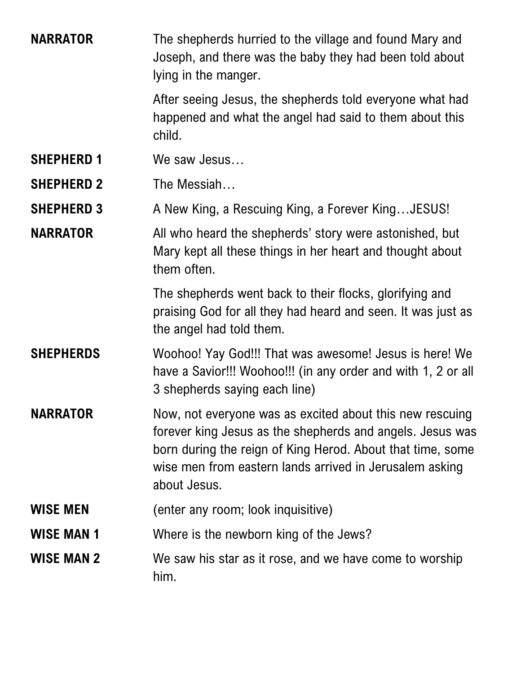| <b>NARRATOR</b>   | The shepherds hurried to the village and found Mary and<br>Joseph, and there was the baby they had been told about<br>lying in the manger.                                                                                                                     |
|-------------------|----------------------------------------------------------------------------------------------------------------------------------------------------------------------------------------------------------------------------------------------------------------|
|                   | After seeing Jesus, the shepherds told everyone what had<br>happened and what the angel had said to them about this<br>child.                                                                                                                                  |
| <b>SHEPHERD 1</b> | We saw Jesus                                                                                                                                                                                                                                                   |
| <b>SHEPHERD 2</b> | The Messiah                                                                                                                                                                                                                                                    |
| <b>SHEPHERD 3</b> | A New King, a Rescuing King, a Forever KingJESUS!                                                                                                                                                                                                              |
| <b>NARRATOR</b>   | All who heard the shepherds' story were astonished, but<br>Mary kept all these things in her heart and thought about<br>them often.                                                                                                                            |
|                   | The shepherds went back to their flocks, glorifying and<br>praising God for all they had heard and seen. It was just as<br>the angel had told them.                                                                                                            |
| <b>SHEPHERDS</b>  | Woohoo! Yay God!!! That was awesome! Jesus is here! We<br>have a Savior!!! Woohoo!!! (in any order and with 1, 2 or all<br>3 shepherds saying each line)                                                                                                       |
| <b>NARRATOR</b>   | Now, not everyone was as excited about this new rescuing<br>forever king Jesus as the shepherds and angels. Jesus was<br>born during the reign of King Herod. About that time, some<br>wise men from eastern lands arrived in Jerusalem asking<br>about Jesus. |
| <b>WISE MEN</b>   | (enter any room; look inquisitive)                                                                                                                                                                                                                             |
| <b>WISE MAN 1</b> | Where is the newborn king of the Jews?                                                                                                                                                                                                                         |
| <b>WISE MAN 2</b> | We saw his star as it rose, and we have come to worship<br>him.                                                                                                                                                                                                |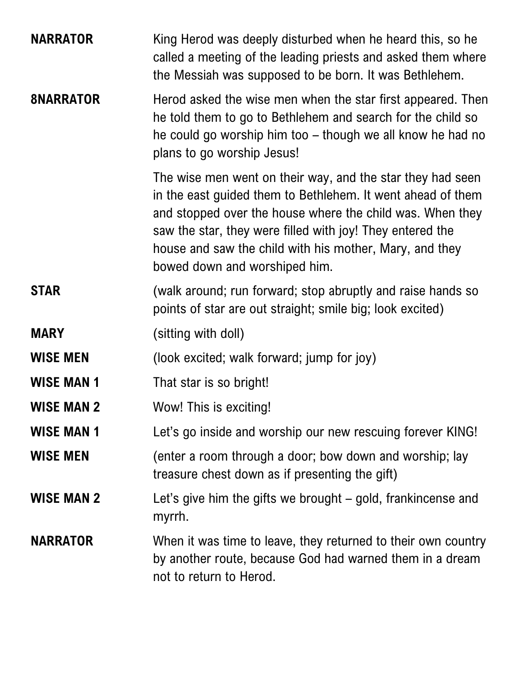| <b>NARRATOR</b>   | King Herod was deeply disturbed when he heard this, so he<br>called a meeting of the leading priests and asked them where<br>the Messiah was supposed to be born. It was Bethlehem.                                                                                                                                                             |
|-------------------|-------------------------------------------------------------------------------------------------------------------------------------------------------------------------------------------------------------------------------------------------------------------------------------------------------------------------------------------------|
| <b>8NARRATOR</b>  | Herod asked the wise men when the star first appeared. Then<br>he told them to go to Bethlehem and search for the child so<br>he could go worship him too – though we all know he had no<br>plans to go worship Jesus!                                                                                                                          |
|                   | The wise men went on their way, and the star they had seen<br>in the east guided them to Bethlehem. It went ahead of them<br>and stopped over the house where the child was. When they<br>saw the star, they were filled with joy! They entered the<br>house and saw the child with his mother, Mary, and they<br>bowed down and worshiped him. |
| <b>STAR</b>       | (walk around; run forward; stop abruptly and raise hands so<br>points of star are out straight; smile big; look excited)                                                                                                                                                                                                                        |
| <b>MARY</b>       | (sitting with doll)                                                                                                                                                                                                                                                                                                                             |
| <b>WISE MEN</b>   | (look excited; walk forward; jump for joy)                                                                                                                                                                                                                                                                                                      |
| <b>WISE MAN 1</b> | That star is so bright!                                                                                                                                                                                                                                                                                                                         |
| <b>WISE MAN 2</b> | Wow! This is exciting!                                                                                                                                                                                                                                                                                                                          |
| <b>WISE MAN 1</b> | Let's go inside and worship our new rescuing forever KING!                                                                                                                                                                                                                                                                                      |
| <b>WISE MEN</b>   | (enter a room through a door; bow down and worship; lay<br>treasure chest down as if presenting the gift)                                                                                                                                                                                                                                       |
| <b>WISE MAN 2</b> | Let's give him the gifts we brought – gold, frankincense and<br>myrrh.                                                                                                                                                                                                                                                                          |
| <b>NARRATOR</b>   | When it was time to leave, they returned to their own country<br>by another route, because God had warned them in a dream<br>not to return to Herod.                                                                                                                                                                                            |